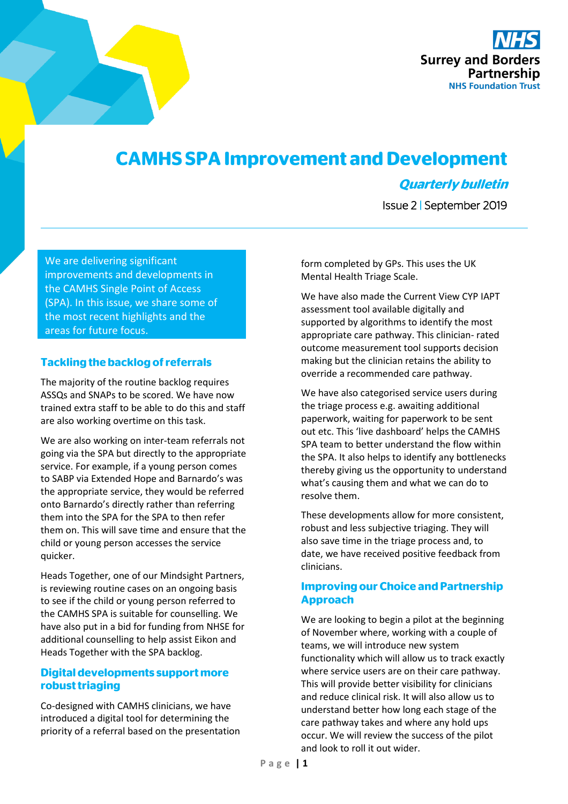

# **CAMHS SPAImprovement and Development**

### **Quarterly bulletin**

Issue 2 | September 2019

We are delivering significant improvements and developments in the CAMHS Single Point of Access (SPA). In this issue, we share some of the most recent highlights and the areas for future focus.

#### **Tackling the backlog of referrals**

The majority of the routine backlog requires ASSQs and SNAPs to be scored. We have now trained extra staff to be able to do this and staff are also working overtime on this task.

We are also working on inter-team referrals not going via the SPA but directly to the appropriate service. For example, if a young person comes to SABP via Extended Hope and Barnardo's was the appropriate service, they would be referred onto Barnardo's directly rather than referring them into the SPA for the SPA to then refer them on. This will save time and ensure that the child or young person accesses the service quicker.

Heads Together, one of our Mindsight Partners, is reviewing routine cases on an ongoing basis to see if the child or young person referred to the CAMHS SPA is suitable for counselling. We have also put in a bid for funding from NHSE for additional counselling to help assist Eikon and Heads Together with the SPA backlog.

#### **Digital developments support more robust triaging**

Co-designed with CAMHS clinicians, we have introduced a digital tool for determining the priority of a referral based on the presentation form completed by GPs. This uses the UK Mental Health Triage Scale.

We have also made the Current View CYP IAPT assessment tool available digitally and supported by algorithms to identify the most appropriate care pathway. This clinician- rated outcome measurement tool supports decision making but the clinician retains the ability to override a recommended care pathway.

We have also categorised service users during the triage process e.g. awaiting additional paperwork, waiting for paperwork to be sent out etc. This 'live dashboard' helps the CAMHS SPA team to better understand the flow within the SPA. It also helps to identify any bottlenecks thereby giving us the opportunity to understand what's causing them and what we can do to resolve them.

These developments allow for more consistent, robust and less subjective triaging. They will also save time in the triage process and, to date, we have received positive feedback from clinicians.

#### **Improving our Choice and Partnership Approach**

We are looking to begin a pilot at the beginning of November where, working with a couple of teams, we will introduce new system functionality which will allow us to track exactly where service users are on their care pathway. This will provide better visibility for clinicians and reduce clinical risk. It will also allow us to understand better how long each stage of the care pathway takes and where any hold ups occur. We will review the success of the pilot and look to roll it out wider.